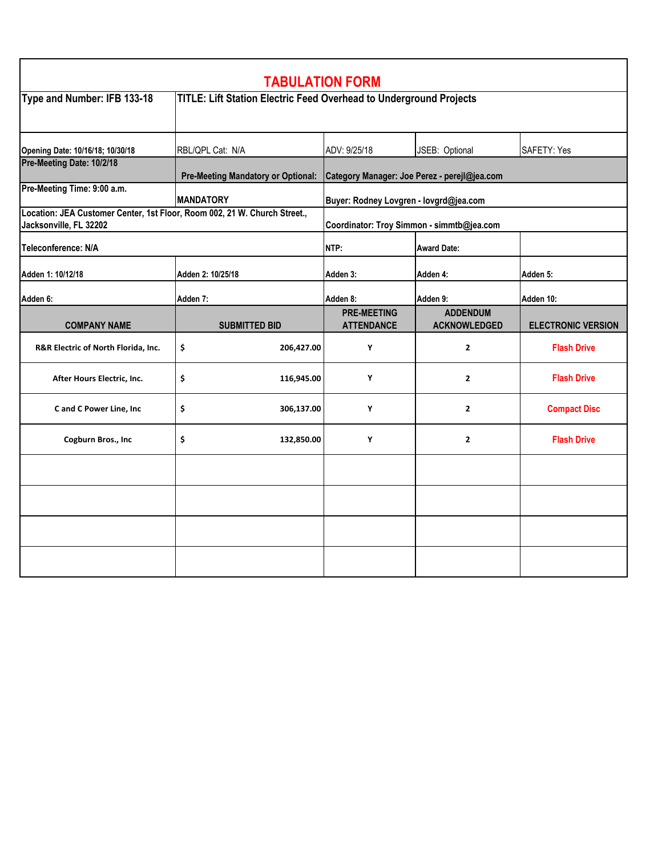| <b>TABULATION FORM</b>                                                                              |                                                                    |                                              |                                        |                           |  |  |  |
|-----------------------------------------------------------------------------------------------------|--------------------------------------------------------------------|----------------------------------------------|----------------------------------------|---------------------------|--|--|--|
| Type and Number: IFB 133-18                                                                         | TITLE: Lift Station Electric Feed Overhead to Underground Projects |                                              |                                        |                           |  |  |  |
| Opening Date: 10/16/18; 10/30/18                                                                    | RBL/QPL Cat: N/A                                                   | ADV: 9/25/18                                 | JSEB: Optional                         | <b>SAFETY: Yes</b>        |  |  |  |
| Pre-Meeting Date: 10/2/18                                                                           | <b>Pre-Meeting Mandatory or Optional:</b>                          | Category Manager: Joe Perez - perejl@jea.com |                                        |                           |  |  |  |
| Pre-Meeting Time: 9:00 a.m.                                                                         | <b>MANDATORY</b>                                                   | Buyer: Rodney Lovgren - lovgrd@jea.com       |                                        |                           |  |  |  |
| Location: JEA Customer Center, 1st Floor, Room 002, 21 W. Church Street.,<br>Jacksonville, FL 32202 |                                                                    | Coordinator: Troy Simmon - simmtb@jea.com    |                                        |                           |  |  |  |
| Teleconference: N/A                                                                                 |                                                                    | NTP:                                         | <b>Award Date:</b>                     |                           |  |  |  |
| Adden 1: 10/12/18                                                                                   | Adden 2: 10/25/18                                                  | Adden 3:                                     | Adden 4:                               | Adden 5:                  |  |  |  |
| <b>Adden 6:</b>                                                                                     | Adden 7:                                                           | Adden 8:                                     | Adden 9:                               | Adden 10:                 |  |  |  |
| <b>COMPANY NAME</b>                                                                                 | <b>SUBMITTED BID</b>                                               | <b>PRE-MEETING</b><br><b>ATTENDANCE</b>      | <b>ADDENDUM</b><br><b>ACKNOWLEDGED</b> | <b>ELECTRONIC VERSION</b> |  |  |  |
| R&R Electric of North Florida, Inc.                                                                 | \$<br>206,427.00                                                   | Y                                            | $\mathbf{2}$                           | <b>Flash Drive</b>        |  |  |  |
| After Hours Electric, Inc.                                                                          | \$<br>116,945.00                                                   | Y                                            | $\mathbf{2}$                           | <b>Flash Drive</b>        |  |  |  |
| C and C Power Line, Inc                                                                             | \$<br>306,137.00                                                   | Y                                            | $\mathbf{z}$                           | <b>Compact Disc</b>       |  |  |  |
| Cogburn Bros., Inc                                                                                  | \$<br>132,850.00                                                   | Y                                            | $\overline{2}$                         | <b>Flash Drive</b>        |  |  |  |
|                                                                                                     |                                                                    |                                              |                                        |                           |  |  |  |
|                                                                                                     |                                                                    |                                              |                                        |                           |  |  |  |
|                                                                                                     |                                                                    |                                              |                                        |                           |  |  |  |
|                                                                                                     |                                                                    |                                              |                                        |                           |  |  |  |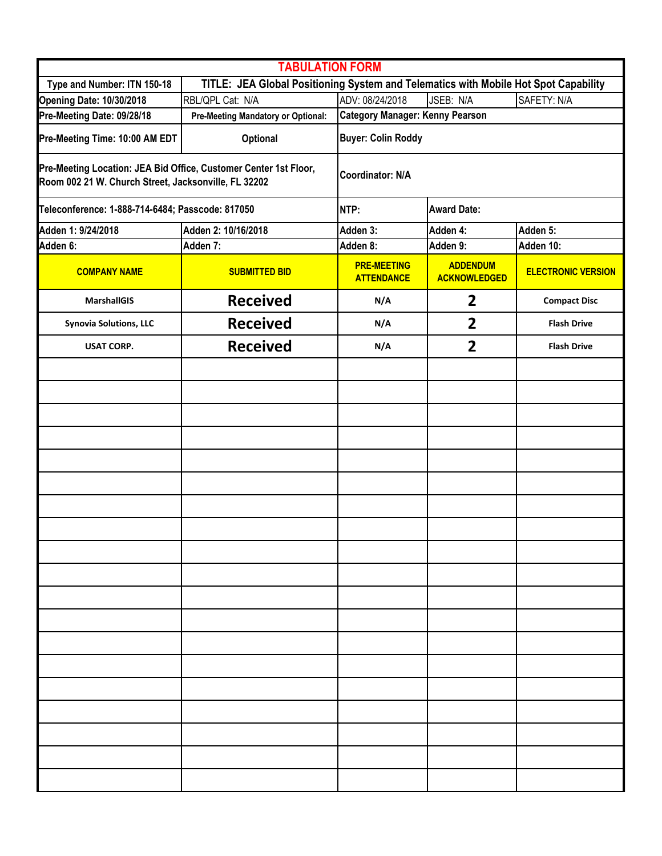| <b>TABULATION FORM</b>                                                                                                   |                                                                                     |                                         |                                        |                           |  |  |  |  |
|--------------------------------------------------------------------------------------------------------------------------|-------------------------------------------------------------------------------------|-----------------------------------------|----------------------------------------|---------------------------|--|--|--|--|
| Type and Number: ITN 150-18                                                                                              | TITLE: JEA Global Positioning System and Telematics with Mobile Hot Spot Capability |                                         |                                        |                           |  |  |  |  |
| <b>Opening Date: 10/30/2018</b>                                                                                          | RBL/QPL Cat: N/A                                                                    | ADV: 08/24/2018                         | JSEB: N/A                              | SAFETY: N/A               |  |  |  |  |
| Pre-Meeting Date: 09/28/18                                                                                               | <b>Pre-Meeting Mandatory or Optional:</b>                                           | <b>Category Manager: Kenny Pearson</b>  |                                        |                           |  |  |  |  |
| Pre-Meeting Time: 10:00 AM EDT                                                                                           | Optional                                                                            | <b>Buyer: Colin Roddy</b>               |                                        |                           |  |  |  |  |
| Pre-Meeting Location: JEA Bid Office, Customer Center 1st Floor,<br>Room 002 21 W. Church Street, Jacksonville, FL 32202 |                                                                                     | <b>Coordinator: N/A</b>                 |                                        |                           |  |  |  |  |
| Teleconference: 1-888-714-6484; Passcode: 817050                                                                         |                                                                                     | <b>Award Date:</b><br>NTP:              |                                        |                           |  |  |  |  |
| Adden 1: 9/24/2018                                                                                                       | Adden 2: 10/16/2018                                                                 | Adden 3:                                | Adden 4:                               | Adden 5:                  |  |  |  |  |
| Adden 6:                                                                                                                 | Adden 7:                                                                            | Adden 8:                                | Adden 9:                               | Adden 10:                 |  |  |  |  |
| <b>COMPANY NAME</b>                                                                                                      | <b>SUBMITTED BID</b>                                                                | <b>PRE-MEETING</b><br><b>ATTENDANCE</b> | <b>ADDENDUM</b><br><b>ACKNOWLEDGED</b> | <b>ELECTRONIC VERSION</b> |  |  |  |  |
| <b>MarshallGIS</b>                                                                                                       | <b>Received</b>                                                                     | N/A                                     | $\overline{2}$                         | <b>Compact Disc</b>       |  |  |  |  |
| <b>Synovia Solutions, LLC</b>                                                                                            | <b>Received</b>                                                                     | N/A                                     | $\overline{2}$                         | <b>Flash Drive</b>        |  |  |  |  |
| <b>USAT CORP.</b>                                                                                                        | <b>Received</b>                                                                     | N/A                                     | $\overline{2}$                         | <b>Flash Drive</b>        |  |  |  |  |
|                                                                                                                          |                                                                                     |                                         |                                        |                           |  |  |  |  |
|                                                                                                                          |                                                                                     |                                         |                                        |                           |  |  |  |  |
|                                                                                                                          |                                                                                     |                                         |                                        |                           |  |  |  |  |
|                                                                                                                          |                                                                                     |                                         |                                        |                           |  |  |  |  |
|                                                                                                                          |                                                                                     |                                         |                                        |                           |  |  |  |  |
|                                                                                                                          |                                                                                     |                                         |                                        |                           |  |  |  |  |
|                                                                                                                          |                                                                                     |                                         |                                        |                           |  |  |  |  |
|                                                                                                                          |                                                                                     |                                         |                                        |                           |  |  |  |  |
|                                                                                                                          |                                                                                     |                                         |                                        |                           |  |  |  |  |
|                                                                                                                          |                                                                                     |                                         |                                        |                           |  |  |  |  |
|                                                                                                                          |                                                                                     |                                         |                                        |                           |  |  |  |  |
|                                                                                                                          |                                                                                     |                                         |                                        |                           |  |  |  |  |
|                                                                                                                          |                                                                                     |                                         |                                        |                           |  |  |  |  |
|                                                                                                                          |                                                                                     |                                         |                                        |                           |  |  |  |  |
|                                                                                                                          |                                                                                     |                                         |                                        |                           |  |  |  |  |
|                                                                                                                          |                                                                                     |                                         |                                        |                           |  |  |  |  |
|                                                                                                                          |                                                                                     |                                         |                                        |                           |  |  |  |  |
|                                                                                                                          |                                                                                     |                                         |                                        |                           |  |  |  |  |
|                                                                                                                          |                                                                                     |                                         |                                        |                           |  |  |  |  |